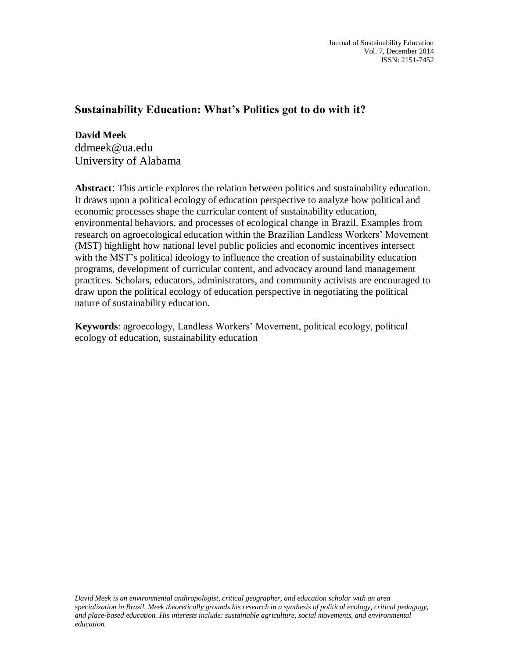## **Sustainability Education: What's Politics got to do with it?**

**David Meek** ddmeek@ua.edu University of Alabama

**Abstract**: This article explores the relation between politics and sustainability education. It draws upon a political ecology of education perspective to analyze how political and economic processes shape the curricular content of sustainability education, environmental behaviors, and processes of ecological change in Brazil. Examples from research on agroecological education within the Brazilian Landless Workers' Movement (MST) highlight how national level public policies and economic incentives intersect with the MST's political ideology to influence the creation of sustainability education programs, development of curricular content, and advocacy around land management practices. Scholars, educators, administrators, and community activists are encouraged to draw upon the political ecology of education perspective in negotiating the political nature of sustainability education.

**Keywords**: agroecology, Landless Workers' Movement, political ecology, political ecology of education, sustainability education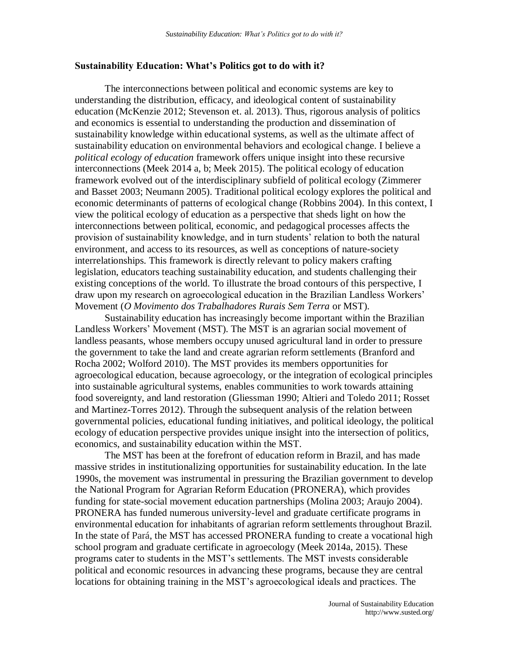## **Sustainability Education: What's Politics got to do with it?**

The interconnections between political and economic systems are key to understanding the distribution, efficacy, and ideological content of sustainability education (McKenzie 2012; Stevenson et. al. 2013). Thus, rigorous analysis of politics and economics is essential to understanding the production and dissemination of sustainability knowledge within educational systems, as well as the ultimate affect of sustainability education on environmental behaviors and ecological change. I believe a *political ecology of education* framework offers unique insight into these recursive interconnections (Meek 2014 a, b; Meek 2015). The political ecology of education framework evolved out of the interdisciplinary subfield of political ecology (Zimmerer and Basset 2003; Neumann 2005). Traditional political ecology explores the political and economic determinants of patterns of ecological change (Robbins 2004). In this context, I view the political ecology of education as a perspective that sheds light on how the interconnections between political, economic, and pedagogical processes affects the provision of sustainability knowledge, and in turn students' relation to both the natural environment, and access to its resources, as well as conceptions of nature-society interrelationships. This framework is directly relevant to policy makers crafting legislation, educators teaching sustainability education, and students challenging their existing conceptions of the world. To illustrate the broad contours of this perspective, I draw upon my research on agroecological education in the Brazilian Landless Workers' Movement (*O Movimento dos Trabalhadores Rurais Sem Terra* or MST).

Sustainability education has increasingly become important within the Brazilian Landless Workers' Movement (MST). The MST is an agrarian social movement of landless peasants, whose members occupy unused agricultural land in order to pressure the government to take the land and create agrarian reform settlements (Branford and Rocha 2002; Wolford 2010). The MST provides its members opportunities for agroecological education, because agroecology, or the integration of ecological principles into sustainable agricultural systems, enables communities to work towards attaining food sovereignty, and land restoration (Gliessman 1990; Altieri and Toledo 2011; Rosset and Martinez-Torres 2012). Through the subsequent analysis of the relation between governmental policies, educational funding initiatives, and political ideology, the political ecology of education perspective provides unique insight into the intersection of politics, economics, and sustainability education within the MST.

The MST has been at the forefront of education reform in Brazil, and has made massive strides in institutionalizing opportunities for sustainability education. In the late 1990s, the movement was instrumental in pressuring the Brazilian government to develop the National Program for Agrarian Reform Education (PRONERA), which provides funding for state-social movement education partnerships (Molina 2003; Araujo 2004). PRONERA has funded numerous university-level and graduate certificate programs in environmental education for inhabitants of agrarian reform settlements throughout Brazil. In the state of Pará, the MST has accessed PRONERA funding to create a vocational high school program and graduate certificate in agroecology (Meek 2014a, 2015). These programs cater to students in the MST's settlements. The MST invests considerable political and economic resources in advancing these programs, because they are central locations for obtaining training in the MST's agroecological ideals and practices. The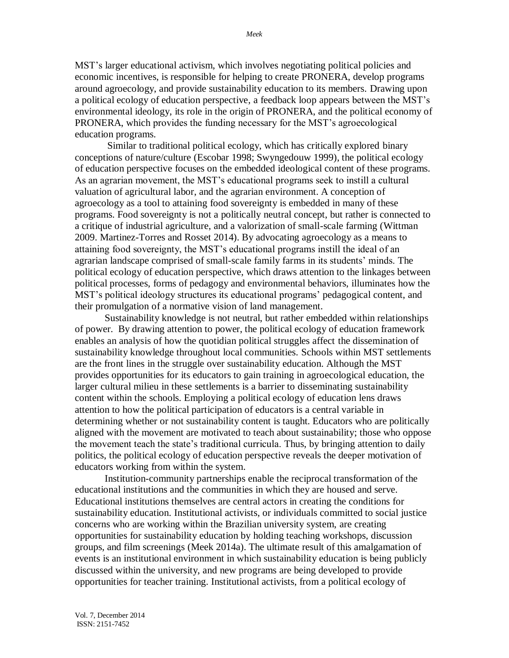MST's larger educational activism, which involves negotiating political policies and economic incentives, is responsible for helping to create PRONERA, develop programs around agroecology, and provide sustainability education to its members. Drawing upon a political ecology of education perspective, a feedback loop appears between the MST's environmental ideology, its role in the origin of PRONERA, and the political economy of PRONERA, which provides the funding necessary for the MST's agroecological education programs.

Similar to traditional political ecology, which has critically explored binary conceptions of nature/culture (Escobar 1998; Swyngedouw 1999), the political ecology of education perspective focuses on the embedded ideological content of these programs. As an agrarian movement, the MST's educational programs seek to instill a cultural valuation of agricultural labor, and the agrarian environment. A conception of agroecology as a tool to attaining food sovereignty is embedded in many of these programs. Food sovereignty is not a politically neutral concept, but rather is connected to a critique of industrial agriculture, and a valorization of small-scale farming (Wittman 2009. Martinez-Torres and Rosset 2014). By advocating agroecology as a means to attaining food sovereignty, the MST's educational programs instill the ideal of an agrarian landscape comprised of small-scale family farms in its students' minds. The political ecology of education perspective, which draws attention to the linkages between political processes, forms of pedagogy and environmental behaviors, illuminates how the MST's political ideology structures its educational programs' pedagogical content, and their promulgation of a normative vision of land management.

Sustainability knowledge is not neutral, but rather embedded within relationships of power. By drawing attention to power, the political ecology of education framework enables an analysis of how the quotidian political struggles affect the dissemination of sustainability knowledge throughout local communities. Schools within MST settlements are the front lines in the struggle over sustainability education. Although the MST provides opportunities for its educators to gain training in agroecological education, the larger cultural milieu in these settlements is a barrier to disseminating sustainability content within the schools. Employing a political ecology of education lens draws attention to how the political participation of educators is a central variable in determining whether or not sustainability content is taught. Educators who are politically aligned with the movement are motivated to teach about sustainability; those who oppose the movement teach the state's traditional curricula. Thus, by bringing attention to daily politics, the political ecology of education perspective reveals the deeper motivation of educators working from within the system.

Institution-community partnerships enable the reciprocal transformation of the educational institutions and the communities in which they are housed and serve. Educational institutions themselves are central actors in creating the conditions for sustainability education. Institutional activists, or individuals committed to social justice concerns who are working within the Brazilian university system, are creating opportunities for sustainability education by holding teaching workshops, discussion groups, and film screenings (Meek 2014a). The ultimate result of this amalgamation of events is an institutional environment in which sustainability education is being publicly discussed within the university, and new programs are being developed to provide opportunities for teacher training. Institutional activists, from a political ecology of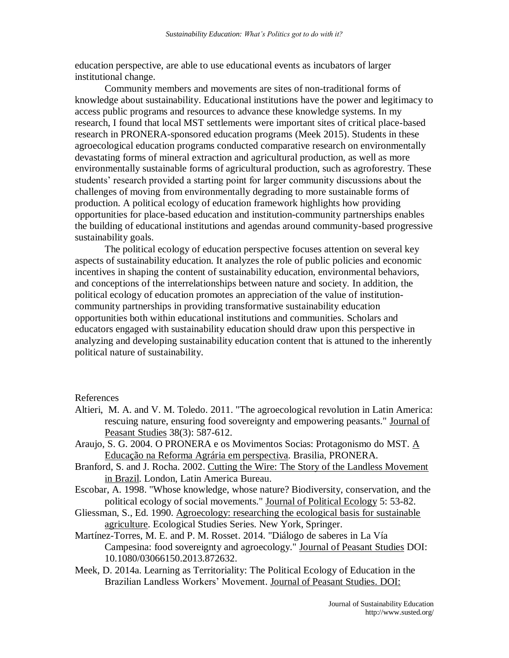education perspective, are able to use educational events as incubators of larger institutional change.

Community members and movements are sites of non-traditional forms of knowledge about sustainability. Educational institutions have the power and legitimacy to access public programs and resources to advance these knowledge systems. In my research, I found that local MST settlements were important sites of critical place-based research in PRONERA-sponsored education programs (Meek 2015). Students in these agroecological education programs conducted comparative research on environmentally devastating forms of mineral extraction and agricultural production, as well as more environmentally sustainable forms of agricultural production, such as agroforestry. These students' research provided a starting point for larger community discussions about the challenges of moving from environmentally degrading to more sustainable forms of production. A political ecology of education framework highlights how providing opportunities for place-based education and institution-community partnerships enables the building of educational institutions and agendas around community-based progressive sustainability goals.

The political ecology of education perspective focuses attention on several key aspects of sustainability education. It analyzes the role of public policies and economic incentives in shaping the content of sustainability education, environmental behaviors, and conceptions of the interrelationships between nature and society. In addition, the political ecology of education promotes an appreciation of the value of institutioncommunity partnerships in providing transformative sustainability education opportunities both within educational institutions and communities. Scholars and educators engaged with sustainability education should draw upon this perspective in analyzing and developing sustainability education content that is attuned to the inherently political nature of sustainability.

References

- Altieri, M. A. and V. M. Toledo. 2011. "The agroecological revolution in Latin America: rescuing nature, ensuring food sovereignty and empowering peasants." Journal of Peasant Studies 38(3): 587-612.
- Araujo, S. G. 2004. O PRONERA e os Movimentos Socias: Protagonismo do MST. A Educação na Reforma Agrária em perspectiva. Brasilia, PRONERA.
- Branford, S. and J. Rocha. 2002. Cutting the Wire: The Story of the Landless Movement in Brazil. London, Latin America Bureau.
- Escobar, A. 1998. "Whose knowledge, whose nature? Biodiversity, conservation, and the political ecology of social movements." Journal of Political Ecology 5: 53-82.
- Gliessman, S., Ed. 1990. Agroecology: researching the ecological basis for sustainable agriculture. Ecological Studies Series. New York, Springer.
- Martínez-Torres, M. E. and P. M. Rosset. 2014. "Diálogo de saberes in La Vía Campesina: food sovereignty and agroecology." Journal of Peasant Studies DOI: 10.1080/03066150.2013.872632.
- Meek, D. 2014a. Learning as Territoriality: The Political Ecology of Education in the Brazilian Landless Workers' Movement. Journal of Peasant Studies. DOI: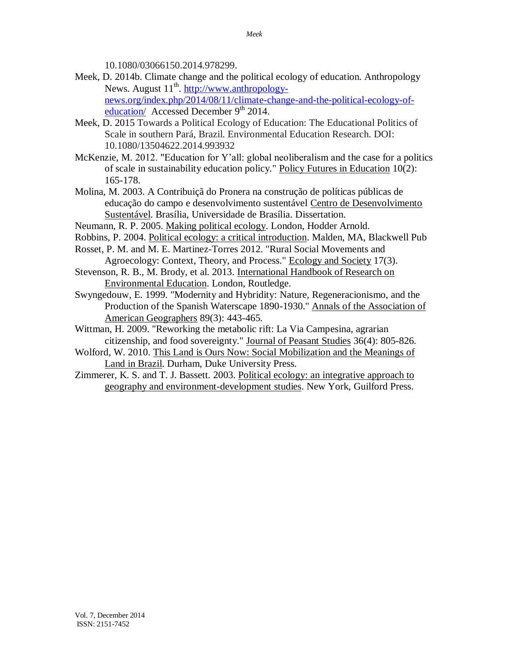10.1080/03066150.2014.978299.

- Meek, D. 2014b. Climate change and the political ecology of education. Anthropology News. August 11<sup>th</sup>. [http://www.anthropology](http://www.anthropology-news.org/index.php/2014/08/11/climate-change-and-the-political-ecology-of-education/)[news.org/index.php/2014/08/11/climate-change-and-the-political-ecology-of](http://www.anthropology-news.org/index.php/2014/08/11/climate-change-and-the-political-ecology-of-education/)[education/](http://www.anthropology-news.org/index.php/2014/08/11/climate-change-and-the-political-ecology-of-education/) Accessed December 9<sup>th</sup> 2014.
- Meek, D. 2015 Towards a Political Ecology of Education: The Educational Politics of Scale in southern Pará, Brazil. Environmental Education Research. DOI: 10.1080/13504622.2014.993932
- McKenzie, M. 2012. "Education for Y'all: global neoliberalism and the case for a politics of scale in sustainability education policy." Policy Futures in Education 10(2): 165-178.
- Molina, M. 2003. A Contribuiçã do Pronera na construção de políticas públicas de educação do campo e desenvolvimento sustentável Centro de Desenvolvimento Sustentável. Brasília, Universidade de Brasília. Dissertation.
- Neumann, R. P. 2005. Making political ecology. London, Hodder Arnold.
- Robbins, P. 2004. Political ecology: a critical introduction. Malden, MA, Blackwell Pub
- Rosset, P. M. and M. E. Martinez-Torres 2012. "Rural Social Movements and Agroecology: Context, Theory, and Process." Ecology and Society 17(3).
- Stevenson, R. B., M. Brody, et al. 2013. International Handbook of Research on Environmental Education. London, Routledge.
- Swyngedouw, E. 1999. "Modernity and Hybridity: Nature, Regeneracionismo, and the Production of the Spanish Waterscape 1890-1930." Annals of the Association of American Geographers 89(3): 443-465.
- Wittman, H. 2009. "Reworking the metabolic rift: La Via Campesina, agrarian citizenship, and food sovereignty." Journal of Peasant Studies 36(4): 805-826.
- Wolford, W. 2010. This Land is Ours Now: Social Mobilization and the Meanings of Land in Brazil. Durham, Duke University Press.
- Zimmerer, K. S. and T. J. Bassett. 2003. Political ecology: an integrative approach to geography and environment-development studies. New York, Guilford Press.